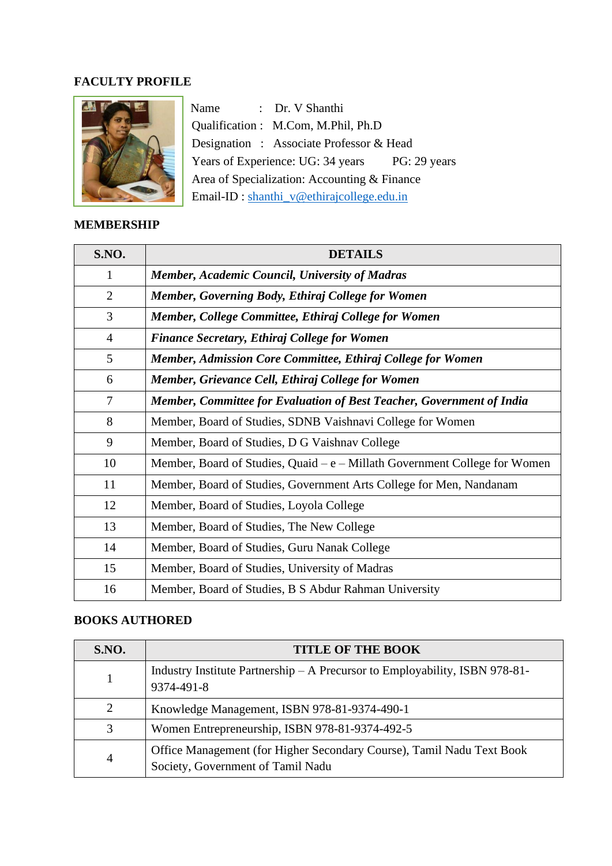#### **FACULTY PROFILE**



Name : Dr. V Shanthi Qualification : M.Com, M.Phil, Ph.D Designation : Associate Professor & Head Years of Experience: UG: 34 years PG: 29 years Area of Specialization: Accounting & Finance Email-ID : [shanthi\\_v@ethirajcollege.edu.in](mailto:shanthi_v@ethirajcollege.edu.in)

### **MEMBERSHIP**

| <b>S.NO.</b>   | <b>DETAILS</b>                                                               |
|----------------|------------------------------------------------------------------------------|
| 1              | <b>Member, Academic Council, University of Madras</b>                        |
| $\overline{2}$ | Member, Governing Body, Ethiraj College for Women                            |
| 3              | Member, College Committee, Ethiraj College for Women                         |
| $\overline{4}$ | <b>Finance Secretary, Ethiraj College for Women</b>                          |
| 5              | Member, Admission Core Committee, Ethiraj College for Women                  |
| 6              | Member, Grievance Cell, Ethiraj College for Women                            |
| 7              | Member, Committee for Evaluation of Best Teacher, Government of India        |
| 8              | Member, Board of Studies, SDNB Vaishnavi College for Women                   |
| 9              | Member, Board of Studies, D G Vaishnav College                               |
| 10             | Member, Board of Studies, Quaid – $e$ – Millath Government College for Women |
| 11             | Member, Board of Studies, Government Arts College for Men, Nandanam          |
| 12             | Member, Board of Studies, Loyola College                                     |
| 13             | Member, Board of Studies, The New College                                    |
| 14             | Member, Board of Studies, Guru Nanak College                                 |
| 15             | Member, Board of Studies, University of Madras                               |
| 16             | Member, Board of Studies, B S Abdur Rahman University                        |

#### **BOOKS AUTHORED**

| <b>S.NO.</b> | <b>TITLE OF THE BOOK</b>                                                                                   |
|--------------|------------------------------------------------------------------------------------------------------------|
|              | Industry Institute Partnership – A Precursor to Employability, ISBN 978-81-<br>9374-491-8                  |
| 2            | Knowledge Management, ISBN 978-81-9374-490-1                                                               |
| 3            | Women Entrepreneurship, ISBN 978-81-9374-492-5                                                             |
| 4            | Office Management (for Higher Secondary Course), Tamil Nadu Text Book<br>Society, Government of Tamil Nadu |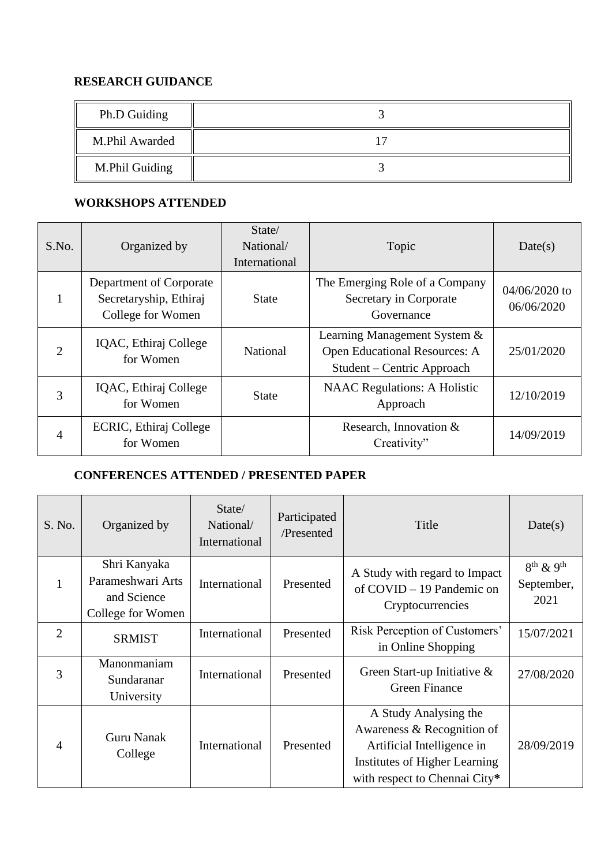### **RESEARCH GUIDANCE**

| Ph.D Guiding   |  |
|----------------|--|
| M.Phil Awarded |  |
| M.Phil Guiding |  |

### **WORKSHOPS ATTENDED**

| S.No.          | Organized by                                                           | State/<br>National/<br>International | Topic                                                                                              | Date(s)                       |
|----------------|------------------------------------------------------------------------|--------------------------------------|----------------------------------------------------------------------------------------------------|-------------------------------|
|                | Department of Corporate<br>Secretaryship, Ethiraj<br>College for Women | <b>State</b>                         | The Emerging Role of a Company<br>Secretary in Corporate<br>Governance                             | $04/06/2020$ to<br>06/06/2020 |
| $\overline{2}$ | IQAC, Ethiraj College<br>for Women                                     | National                             | Learning Management System &<br><b>Open Educational Resources: A</b><br>Student – Centric Approach | 25/01/2020                    |
| 3              | IQAC, Ethiraj College<br>for Women                                     | <b>State</b>                         | <b>NAAC</b> Regulations: A Holistic<br>Approach                                                    | 12/10/2019                    |
| 4              | ECRIC, Ethiraj College<br>for Women                                    |                                      | Research, Innovation $&$<br>Creativity"                                                            | 14/09/2019                    |

## **CONFERENCES ATTENDED / PRESENTED PAPER**

| S. No.         | Organized by                                                          | State/<br>National/<br>International | Participated<br>/Presented | Title                                                                                                                                               | Date(s)                                          |
|----------------|-----------------------------------------------------------------------|--------------------------------------|----------------------------|-----------------------------------------------------------------------------------------------------------------------------------------------------|--------------------------------------------------|
| 1              | Shri Kanyaka<br>Parameshwari Arts<br>and Science<br>College for Women | International                        | Presented                  | A Study with regard to Impact<br>of $COVID - 19$ Pandemic on<br>Cryptocurrencies                                                                    | $8^{th}$ & 9 <sup>th</sup><br>September,<br>2021 |
| $\overline{2}$ | <b>SRMIST</b>                                                         | International                        | Presented                  | Risk Perception of Customers'<br>in Online Shopping                                                                                                 | 15/07/2021                                       |
| 3              | Manonmaniam<br>Sundaranar<br>University                               | International                        | Presented                  | Green Start-up Initiative $\&$<br><b>Green Finance</b>                                                                                              | 27/08/2020                                       |
| $\overline{4}$ | <b>Guru Nanak</b><br>College                                          | International                        | Presented                  | A Study Analysing the<br>Awareness & Recognition of<br>Artificial Intelligence in<br>Institutes of Higher Learning<br>with respect to Chennai City* | 28/09/2019                                       |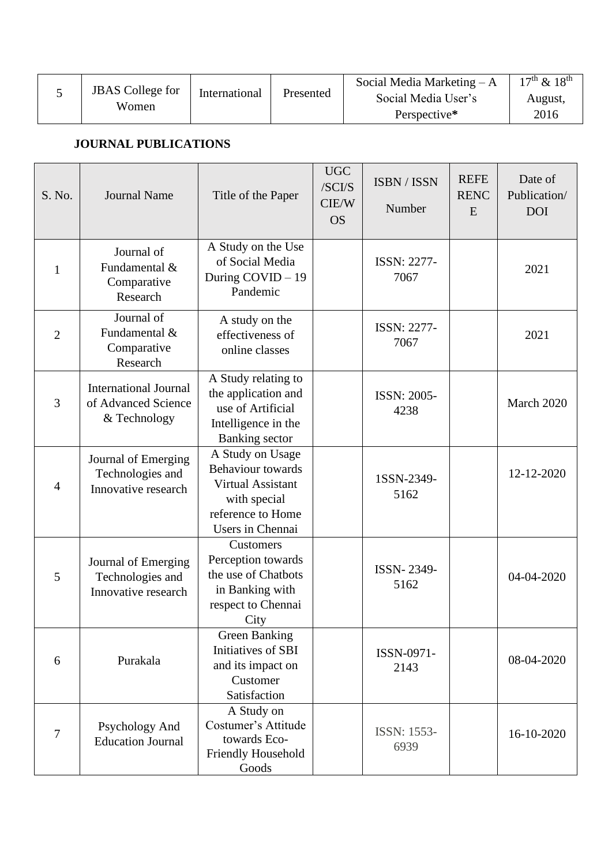| <b>JBAS</b> College for |               |           | Social Media Marketing $-A$ | $17^{th}$ & $18^{th}$ |
|-------------------------|---------------|-----------|-----------------------------|-----------------------|
|                         | International | Presented | Social Media User's         | August,               |
| Women                   |               |           | Perspective*                | 2016                  |

## **JOURNAL PUBLICATIONS**

| S. No.         | <b>Journal Name</b>                                                 | Title of the Paper                                                                                                                | <b>UGC</b><br>/SCI/S<br>CIE/W<br><b>OS</b> | ISBN / ISSN<br>Number      | <b>REFE</b><br><b>RENC</b><br>E | Date of<br>Publication/<br><b>DOI</b> |
|----------------|---------------------------------------------------------------------|-----------------------------------------------------------------------------------------------------------------------------------|--------------------------------------------|----------------------------|---------------------------------|---------------------------------------|
| 1              | Journal of<br>Fundamental &<br>Comparative<br>Research              | A Study on the Use<br>of Social Media<br>During COVID - 19<br>Pandemic                                                            |                                            | <b>ISSN: 2277-</b><br>7067 |                                 | 2021                                  |
| $\overline{2}$ | Journal of<br>Fundamental &<br>Comparative<br>Research              | A study on the<br>effectiveness of<br>online classes                                                                              |                                            | <b>ISSN: 2277-</b><br>7067 |                                 | 2021                                  |
| 3              | <b>International Journal</b><br>of Advanced Science<br>& Technology | A Study relating to<br>the application and<br>use of Artificial<br>Intelligence in the<br><b>Banking</b> sector                   |                                            | ISSN: 2005-<br>4238        |                                 | March 2020                            |
| $\overline{4}$ | Journal of Emerging<br>Technologies and<br>Innovative research      | A Study on Usage<br><b>Behaviour</b> towards<br><b>Virtual Assistant</b><br>with special<br>reference to Home<br>Users in Chennai |                                            | 1SSN-2349-<br>5162         |                                 | 12-12-2020                            |
| 5              | Journal of Emerging<br>Technologies and<br>Innovative research      | Customers<br>Perception towards<br>the use of Chatbots<br>in Banking with<br>respect to Chennai<br>City                           |                                            | ISSN-2349-<br>5162         |                                 | 04-04-2020                            |
| 6              | Purakala                                                            | <b>Green Banking</b><br>Initiatives of SBI<br>and its impact on<br>Customer<br>Satisfaction                                       |                                            | ISSN-0971-<br>2143         |                                 | 08-04-2020                            |
| $\overline{7}$ | Psychology And<br><b>Education Journal</b>                          | A Study on<br>Costumer's Attitude<br>towards Eco-<br>Friendly Household<br>Goods                                                  |                                            | <b>ISSN: 1553-</b><br>6939 |                                 | 16-10-2020                            |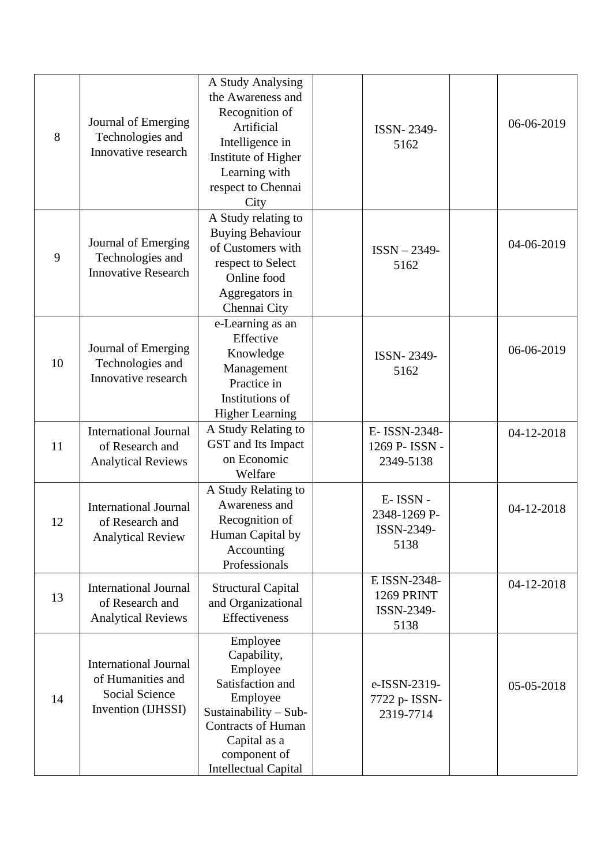| 8  | Journal of Emerging<br>Technologies and<br>Innovative research                            | A Study Analysing<br>the Awareness and<br>Recognition of<br>Artificial<br>Intelligence in<br>Institute of Higher<br>Learning with<br>respect to Chennai<br>City                            | ISSN-2349-<br>5162                               | 06-06-2019 |
|----|-------------------------------------------------------------------------------------------|--------------------------------------------------------------------------------------------------------------------------------------------------------------------------------------------|--------------------------------------------------|------------|
| 9  | Journal of Emerging<br>Technologies and<br><b>Innovative Research</b>                     | A Study relating to<br><b>Buying Behaviour</b><br>of Customers with<br>respect to Select<br>Online food<br>Aggregators in<br>Chennai City                                                  | $ISSN - 2349 -$<br>5162                          | 04-06-2019 |
| 10 | Journal of Emerging<br>Technologies and<br>Innovative research                            | e-Learning as an<br>Effective<br>Knowledge<br>Management<br>Practice in<br>Institutions of<br><b>Higher Learning</b>                                                                       | ISSN-2349-<br>5162                               | 06-06-2019 |
| 11 | <b>International Journal</b><br>of Research and<br><b>Analytical Reviews</b>              | A Study Relating to<br>GST and Its Impact<br>on Economic<br>Welfare                                                                                                                        | E-ISSN-2348-<br>1269 P- ISSN -<br>2349-5138      | 04-12-2018 |
| 12 | <b>International Journal</b><br>of Research and<br><b>Analytical Review</b>               | A Study Relating to<br>Awareness and<br>Recognition of<br>Human Capital by<br>Accounting<br>Professionals                                                                                  | E-ISSN-<br>2348-1269 P-<br>ISSN-2349-<br>5138    | 04-12-2018 |
| 13 | <b>International Journal</b><br>of Research and<br><b>Analytical Reviews</b>              | <b>Structural Capital</b><br>and Organizational<br>Effectiveness                                                                                                                           | E ISSN-2348-<br>1269 PRINT<br>ISSN-2349-<br>5138 | 04-12-2018 |
| 14 | <b>International Journal</b><br>of Humanities and<br>Social Science<br>Invention (IJHSSI) | Employee<br>Capability,<br>Employee<br>Satisfaction and<br>Employee<br>Sustainability $-$ Sub-<br><b>Contracts of Human</b><br>Capital as a<br>component of<br><b>Intellectual Capital</b> | e-ISSN-2319-<br>7722 p- ISSN-<br>2319-7714       | 05-05-2018 |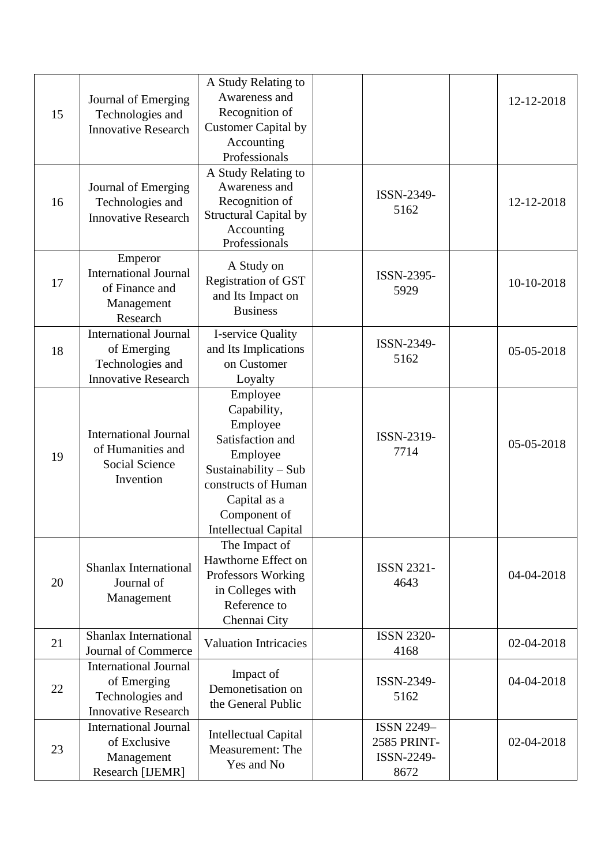| 15 | Journal of Emerging<br>Technologies and<br><b>Innovative Research</b>                         | A Study Relating to<br>Awareness and<br>Recognition of<br><b>Customer Capital by</b><br>Accounting<br>Professionals<br>A Study Relating to                                        |                                                        | 12-12-2018 |
|----|-----------------------------------------------------------------------------------------------|-----------------------------------------------------------------------------------------------------------------------------------------------------------------------------------|--------------------------------------------------------|------------|
| 16 | Journal of Emerging<br>Technologies and<br><b>Innovative Research</b>                         | Awareness and<br>Recognition of<br><b>Structural Capital by</b><br>Accounting<br>Professionals                                                                                    | ISSN-2349-<br>5162                                     | 12-12-2018 |
| 17 | Emperor<br><b>International Journal</b><br>of Finance and<br>Management<br>Research           | A Study on<br>Registration of GST<br>and Its Impact on<br><b>Business</b>                                                                                                         | ISSN-2395-<br>5929                                     | 10-10-2018 |
| 18 | <b>International Journal</b><br>of Emerging<br>Technologies and<br><b>Innovative Research</b> | I-service Quality<br>and Its Implications<br>on Customer<br>Loyalty                                                                                                               | ISSN-2349-<br>5162                                     | 05-05-2018 |
| 19 | <b>International Journal</b><br>of Humanities and<br>Social Science<br>Invention              | Employee<br>Capability,<br>Employee<br>Satisfaction and<br>Employee<br>Sustainability - Sub<br>constructs of Human<br>Capital as a<br>Component of<br><b>Intellectual Capital</b> | ISSN-2319-<br>7714                                     | 05-05-2018 |
| 20 | Shanlax International<br>Journal of<br>Management                                             | The Impact of<br>Hawthorne Effect on<br>Professors Working<br>in Colleges with<br>Reference to<br>Chennai City                                                                    | <b>ISSN 2321-</b><br>4643                              | 04-04-2018 |
| 21 | Shanlax International<br>Journal of Commerce                                                  | <b>Valuation Intricacies</b>                                                                                                                                                      | <b>ISSN 2320-</b><br>4168                              | 02-04-2018 |
| 22 | <b>International Journal</b><br>of Emerging<br>Technologies and<br><b>Innovative Research</b> | Impact of<br>Demonetisation on<br>the General Public                                                                                                                              | ISSN-2349-<br>5162                                     | 04-04-2018 |
| 23 | <b>International Journal</b><br>of Exclusive<br>Management<br>Research [IJEMR]                | <b>Intellectual Capital</b><br>Measurement: The<br>Yes and No                                                                                                                     | <b>ISSN 2249-</b><br>2585 PRINT-<br>ISSN-2249-<br>8672 | 02-04-2018 |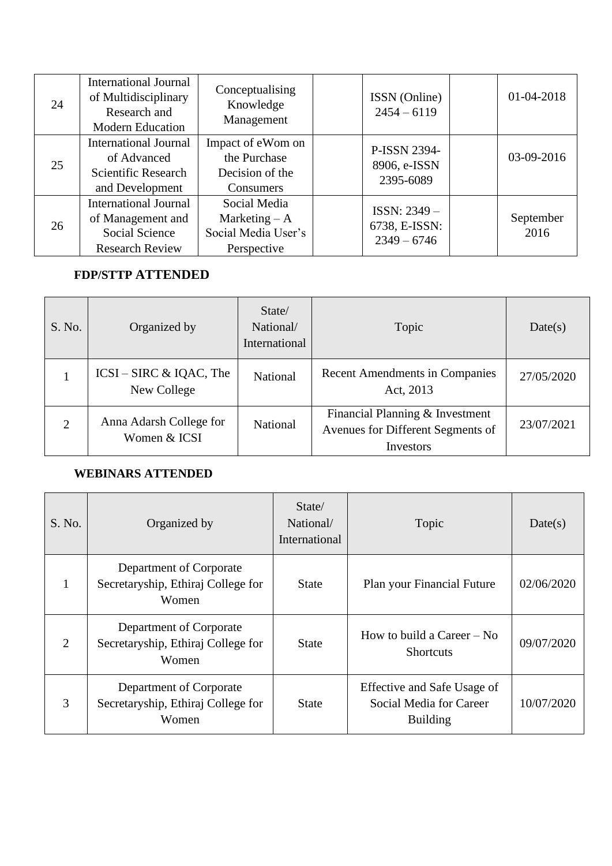| 24 | International Journal<br>of Multidisciplinary<br>Research and<br><b>Modern Education</b>             | Conceptualising<br>Knowledge<br>Management                            | ISSN (Online)<br>$2454 - 6119$                 | 01-04-2018        |
|----|------------------------------------------------------------------------------------------------------|-----------------------------------------------------------------------|------------------------------------------------|-------------------|
| 25 | <b>International Journal</b><br>of Advanced<br>Scientific Research<br>and Development                | Impact of eWom on<br>the Purchase<br>Decision of the<br>Consumers     | P-ISSN 2394-<br>8906, e-ISSN<br>2395-6089      | 03-09-2016        |
| 26 | <b>International Journal</b><br>of Management and<br><b>Social Science</b><br><b>Research Review</b> | Social Media<br>Marketing $- A$<br>Social Media User's<br>Perspective | ISSN: 2349 -<br>6738, E-ISSN:<br>$2349 - 6746$ | September<br>2016 |

## **FDP/STTP ATTENDED**

| S. No.         | Organized by                              | State/<br>National/<br>International | Topic                                                                             | Date(s)    |
|----------------|-------------------------------------------|--------------------------------------|-----------------------------------------------------------------------------------|------------|
|                | $ICSI - SIRC & IQAC$ , The<br>New College | National                             | <b>Recent Amendments in Companies</b><br>Act, 2013                                | 27/05/2020 |
| $\overline{2}$ | Anna Adarsh College for<br>Women & ICSI   | National                             | Financial Planning & Investment<br>Avenues for Different Segments of<br>Investors | 23/07/2021 |

# **WEBINARS ATTENDED**

| S. No. | Organized by                                                           | State/<br>National/<br>International | Topic                                                                     | Date(s)    |
|--------|------------------------------------------------------------------------|--------------------------------------|---------------------------------------------------------------------------|------------|
| 1      | Department of Corporate<br>Secretaryship, Ethiraj College for<br>Women | <b>State</b>                         | Plan your Financial Future                                                | 02/06/2020 |
| 2      | Department of Corporate<br>Secretaryship, Ethiraj College for<br>Women | <b>State</b>                         | How to build a Career $-$ No<br><b>Shortcuts</b>                          | 09/07/2020 |
| 3      | Department of Corporate<br>Secretaryship, Ethiraj College for<br>Women | State                                | Effective and Safe Usage of<br>Social Media for Career<br><b>Building</b> | 10/07/2020 |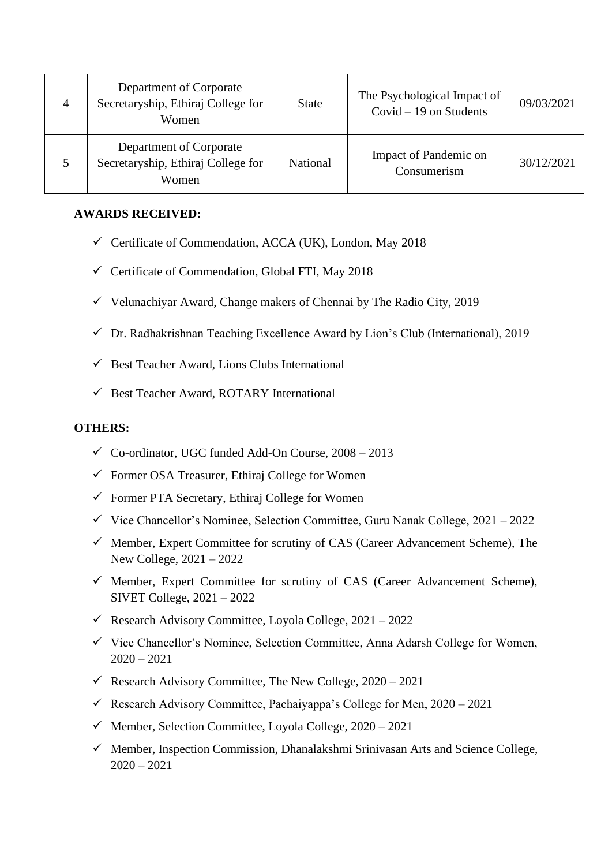| $\overline{4}$ | Department of Corporate<br>Secretaryship, Ethiraj College for<br>Women | <b>State</b> | The Psychological Impact of<br>Covid $-19$ on Students | 09/03/2021 |
|----------------|------------------------------------------------------------------------|--------------|--------------------------------------------------------|------------|
| 5              | Department of Corporate<br>Secretaryship, Ethiraj College for<br>Women | National     | Impact of Pandemic on<br>Consumerism                   | 30/12/2021 |

#### **AWARDS RECEIVED:**

- $\checkmark$  Certificate of Commendation, ACCA (UK), London, May 2018
- $\checkmark$  Certificate of Commendation, Global FTI, May 2018
- $\checkmark$  Velunachiyar Award, Change makers of Chennai by The Radio City, 2019
- $\checkmark$  Dr. Radhakrishnan Teaching Excellence Award by Lion's Club (International), 2019
- $\checkmark$  Best Teacher Award, Lions Clubs International
- $\checkmark$  Best Teacher Award, ROTARY International

#### **OTHERS:**

- $\checkmark$  Co-ordinator, UGC funded Add-On Course, 2008 2013
- $\checkmark$  Former OSA Treasurer, Ethiraj College for Women
- $\checkmark$  Former PTA Secretary, Ethiraj College for Women
- $\checkmark$  Vice Chancellor's Nominee, Selection Committee, Guru Nanak College, 2021 2022
- $\checkmark$  Member, Expert Committee for scrutiny of CAS (Career Advancement Scheme), The New College, 2021 – 2022
- $\checkmark$  Member, Expert Committee for scrutiny of CAS (Career Advancement Scheme), SIVET College, 2021 – 2022
- $\checkmark$  Research Advisory Committee, Loyola College, 2021 2022
- ✓ Vice Chancellor's Nominee, Selection Committee, Anna Adarsh College for Women,  $2020 - 2021$
- $\checkmark$  Research Advisory Committee, The New College, 2020 2021
- $\checkmark$  Research Advisory Committee, Pachaiyappa's College for Men, 2020 2021
- $\checkmark$  Member, Selection Committee, Loyola College, 2020 2021
- ✓ Member, Inspection Commission, Dhanalakshmi Srinivasan Arts and Science College,  $2020 - 2021$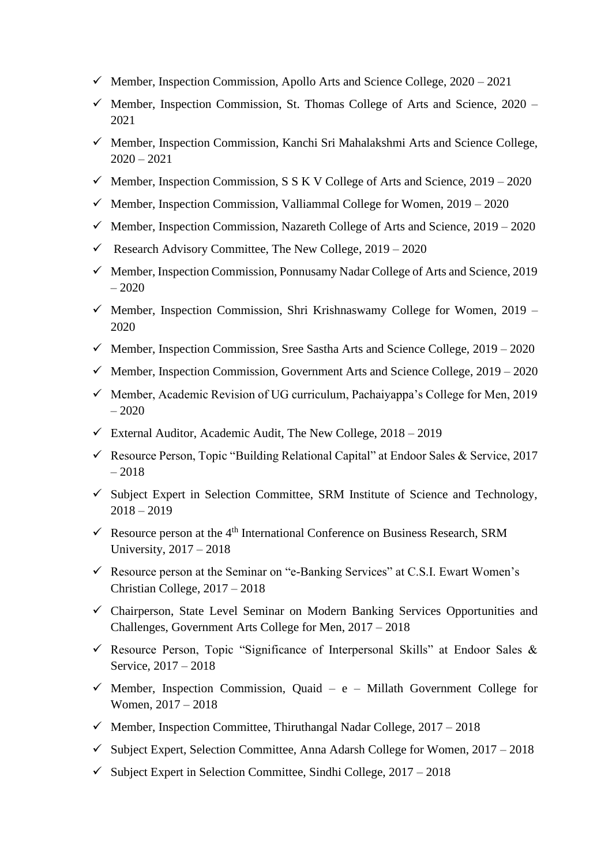- $\checkmark$  Member, Inspection Commission, Apollo Arts and Science College, 2020 2021
- $\checkmark$  Member, Inspection Commission, St. Thomas College of Arts and Science, 2020 2021
- ✓ Member, Inspection Commission, Kanchi Sri Mahalakshmi Arts and Science College,  $2020 - 2021$
- $\checkmark$  Member, Inspection Commission, S S K V College of Arts and Science, 2019 2020
- $\checkmark$  Member, Inspection Commission, Valliammal College for Women, 2019 2020
- $\checkmark$  Member, Inspection Commission, Nazareth College of Arts and Science, 2019 2020
- $\checkmark$  Research Advisory Committee, The New College, 2019 2020
- $\checkmark$  Member, Inspection Commission, Ponnusamy Nadar College of Arts and Science, 2019 – 2020
- $\checkmark$  Member, Inspection Commission, Shri Krishnaswamy College for Women, 2019 2020
- $\checkmark$  Member, Inspection Commission, Sree Sastha Arts and Science College, 2019 2020
- $\checkmark$  Member, Inspection Commission, Government Arts and Science College, 2019 2020
- ✓ Member, Academic Revision of UG curriculum, Pachaiyappa's College for Men, 2019 – 2020
- $\checkmark$  External Auditor, Academic Audit, The New College, 2018 2019
- $\checkmark$  Resource Person, Topic "Building Relational Capital" at Endoor Sales & Service, 2017  $-2018$
- $\checkmark$  Subject Expert in Selection Committee, SRM Institute of Science and Technology,  $2018 - 2019$
- $\checkmark$  Resource person at the 4<sup>th</sup> International Conference on Business Research, SRM University, 2017 – 2018
- $\checkmark$  Resource person at the Seminar on "e-Banking Services" at C.S.I. Ewart Women's Christian College, 2017 – 2018
- ✓ Chairperson, State Level Seminar on Modern Banking Services Opportunities and Challenges, Government Arts College for Men, 2017 – 2018
- $\checkmark$  Resource Person, Topic "Significance of Interpersonal Skills" at Endoor Sales & Service, 2017 – 2018
- $\checkmark$  Member, Inspection Commission, Quaid e Millath Government College for Women, 2017 – 2018
- $\checkmark$  Member, Inspection Committee, Thiruthangal Nadar College, 2017 2018
- $\checkmark$  Subject Expert, Selection Committee, Anna Adarsh College for Women, 2017 2018
- $\checkmark$  Subject Expert in Selection Committee, Sindhi College, 2017 2018